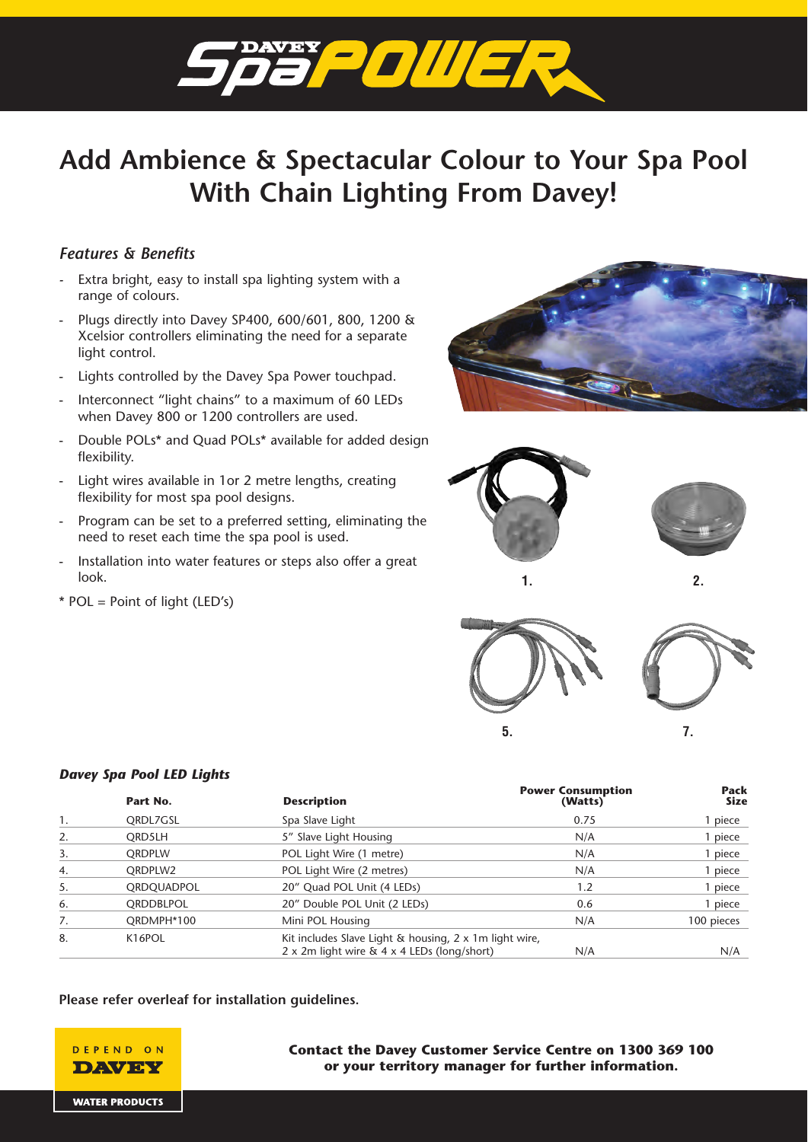

# **Add Ambience & Spectacular Colour to Your Spa Pool With Chain Lighting From Davey!**

## *Features & Benefits*

- Extra bright, easy to install spa lighting system with a range of colours.
- Plugs directly into Davey SP400, 600/601, 800, 1200 & Xcelsior controllers eliminating the need for a separate light control.
- Lights controlled by the Davey Spa Power touchpad.
- Interconnect "light chains" to a maximum of 60 LEDs when Davey 800 or 1200 controllers are used.
- Double POLs\* and Quad POLs\* available for added design flexibility.
- Light wires available in 1or 2 metre lengths, creating flexibility for most spa pool designs.
- Program can be set to a preferred setting, eliminating the need to reset each time the spa pool is used.
- Installation into water features or steps also offer a great look.
- $*$  POL = Point of light (LED's)

*Davey Spa Pool LED Lights*









### 1. CRDL7GSL Spa Slave Light 0.75 0.75 1 piece 2. QRD5LH 5" Slave Light Housing 1997 1997 N/A 1 piece 3. CRDPLW POL Light Wire (1 metre) N/A 1 piece 4. CRDPLW2 POL Light Wire (2 metres) And the state of the state of the state of the piece 5. CRDOUADPOL 20" Ouad POL Unit (4 LEDs) 1.2 1 piece 6. QRDDBLPOL 20" Double POL Unit (2 LEDs) 0.6 1 piece 7. CRDMPH\*100 CRDMPH\*100 Mini POL Housing CHO 100 pieces 8. K16POL Kit includes Slave Light & housing, 2 x 1m light wire, 2 x 2m light wire & 4 x 4 LEDs (long/short) N/A N/A **Power Consumption Power Consumption Pack Part No. Description**

## **Please refer overleaf for installation guidelines.**



## **Contact the Davey Customer Service Centre on 1300 369 100 or your territory manager for further information.**

**WATER PRODUCTS**